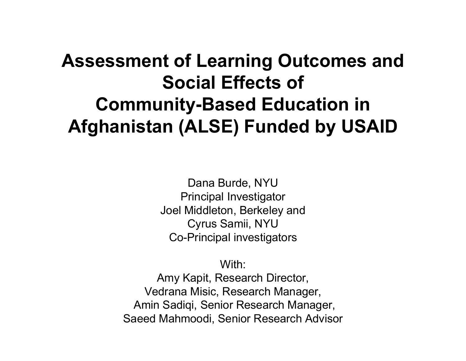### **Assessment of Learning Outcomes and Social Effects of Community-Based Education in Afghanistan (ALSE) Funded by USAID**

Dana Burde, NYU Principal Investigator Joel Middleton, Berkeley and Cyrus Samii, NYU Co-Principal investigators

With:

Amy Kapit, Research Director, Vedrana Misic, Research Manager, Amin Sadiqi, Senior Research Manager, Saeed Mahmoodi, Senior Research Advisor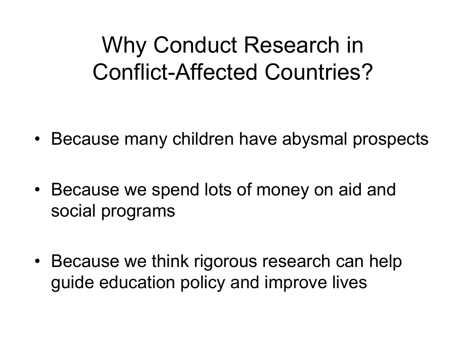### Why Conduct Research in Conflict-Affected Countries?

- Because many children have abysmal prospects
- Because we spend lots of money on aid and social programs
- Because we think rigorous research can help guide education policy and improve lives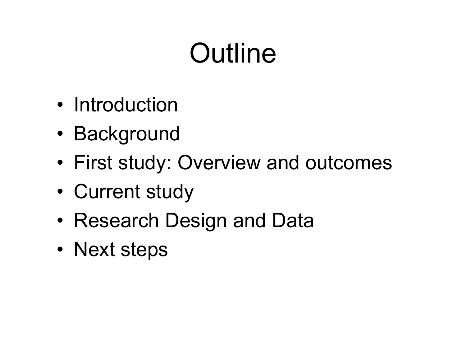# **Outline**

- Introduction
- Background
- First study: Overview and outcomes
- Current study
- Research Design and Data
- Next steps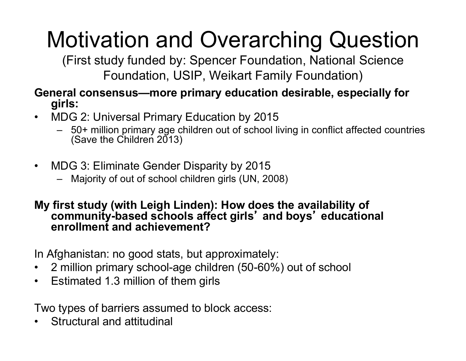## Motivation and Overarching Question

(First study funded by: Spencer Foundation, National Science Foundation, USIP, Weikart Family Foundation)

#### **General consensus—more primary education desirable, especially for girls:**

- MDG 2: Universal Primary Education by 2015
	- 50+ million primary age children out of school living in conflict affected countries (Save the Children 2013)
- MDG 3: Eliminate Gender Disparity by 2015
	- Majority of out of school children girls (UN, 2008)

#### **My first study (with Leigh Linden): How does the availability of community-based schools affect girls and boys educational enrollment and achievement?**

In Afghanistan: no good stats, but approximately:

- 2 million primary school-age children (50-60%) out of school
- Estimated 1.3 million of them girls

Two types of barriers assumed to block access:

• Structural and attitudinal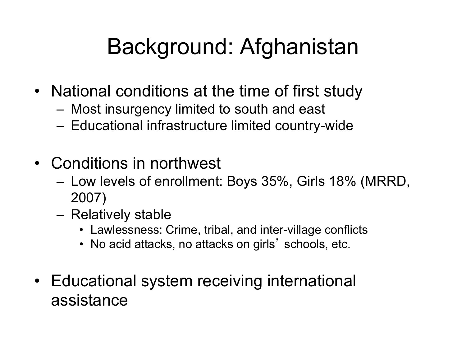### Background: Afghanistan

- National conditions at the time of first study
	- Most insurgency limited to south and east
	- Educational infrastructure limited country-wide
- Conditions in northwest
	- Low levels of enrollment: Boys 35%, Girls 18% (MRRD, 2007)
	- Relatively stable
		- Lawlessness: Crime, tribal, and inter-village conflicts
		- No acid attacks, no attacks on girls' schools, etc.
- Educational system receiving international assistance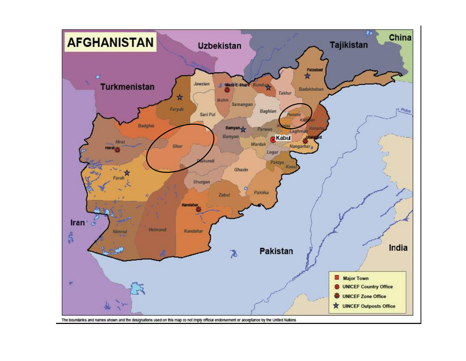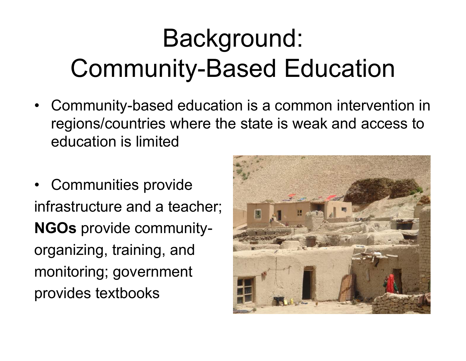# Background: Community-Based Education

- Community-based education is a common intervention in regions/countries where the state is weak and access to education is limited
- Communities provide infrastructure and a teacher; **NGOs** provide communityorganizing, training, and monitoring; government provides textbooks

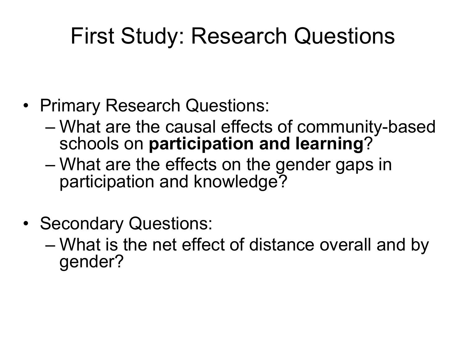### First Study: Research Questions

- Primary Research Questions:
	- What are the causal effects of community-based schools on **participation and learning**?
	- What are the effects on the gender gaps in participation and knowledge?
- Secondary Questions:
	- What is the net effect of distance overall and by gender?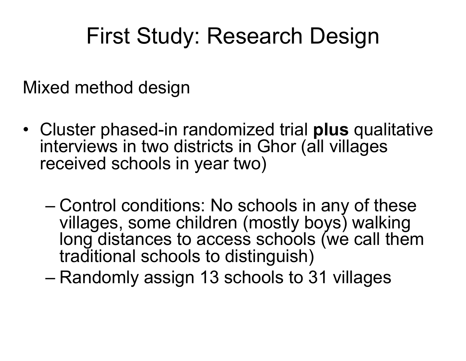### First Study: Research Design

Mixed method design

- Cluster phased-in randomized trial **plus** qualitative interviews in two districts in Ghor (all villages received schools in year two)
	- Control conditions: No schools in any of these villages, some children (mostly boys) walking long distances to access schools (we call them traditional schools to distinguish)
	- Randomly assign 13 schools to 31 villages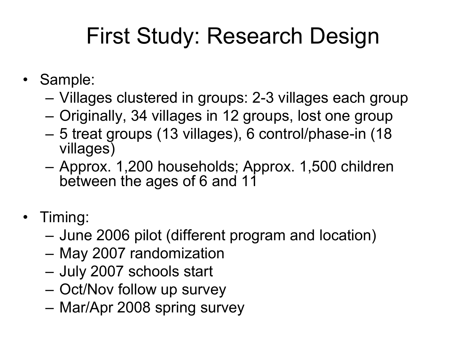## First Study: Research Design

- Sample:
	- Villages clustered in groups: 2-3 villages each group
	- Originally, 34 villages in 12 groups, lost one group
	- 5 treat groups (13 villages), 6 control/phase-in (18 villages)
	- Approx. 1,200 households; Approx. 1,500 children between the ages of 6 and 11
- Timing:
	- June 2006 pilot (different program and location)
	- May 2007 randomization
	- July 2007 schools start
	- Oct/Nov follow up survey
	- Mar/Apr 2008 spring survey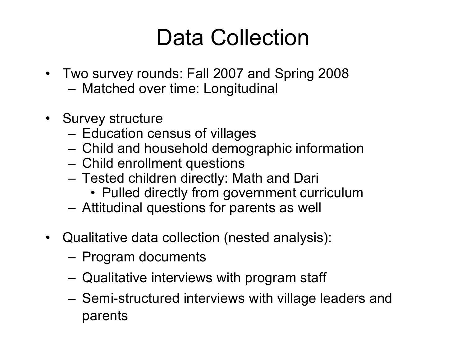### Data Collection

- Two survey rounds: Fall 2007 and Spring 2008
	- Matched over time: Longitudinal
- Survey structure
	- Education census of villages
	- Child and household demographic information
	- Child enrollment questions
	- Tested children directly: Math and Dari
		- Pulled directly from government curriculum
	- Attitudinal questions for parents as well
- Qualitative data collection (nested analysis):
	- Program documents
	- Qualitative interviews with program staff
	- Semi-structured interviews with village leaders and parents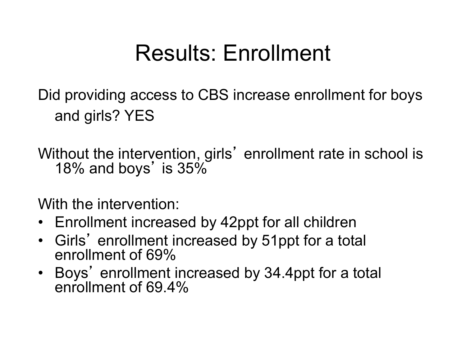### Results: Enrollment

Did providing access to CBS increase enrollment for boys and girls? YES

Without the intervention, girls' enrollment rate in school is 18% and boys' is 35%

With the intervention:

- Enrollment increased by 42ppt for all children
- Girls' enrollment increased by 51ppt for a total<br>enrollment of 69%
- Boys' enrollment increased by 34.4ppt for a total enrollment of 69.4%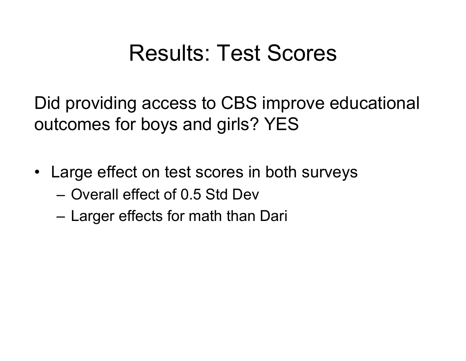### Results: Test Scores

Did providing access to CBS improve educational outcomes for boys and girls? YES

- Large effect on test scores in both surveys
	- Overall effect of 0.5 Std Dev
	- Larger effects for math than Dari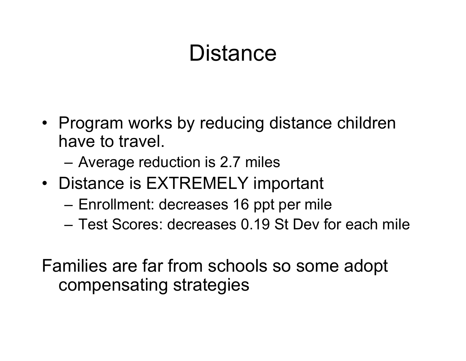### **Distance**

- Program works by reducing distance children have to travel.
	- Average reduction is 2.7 miles
- Distance is EXTREMELY important
	- Enrollment: decreases 16 ppt per mile
	- Test Scores: decreases 0.19 St Dev for each mile

### Families are far from schools so some adopt compensating strategies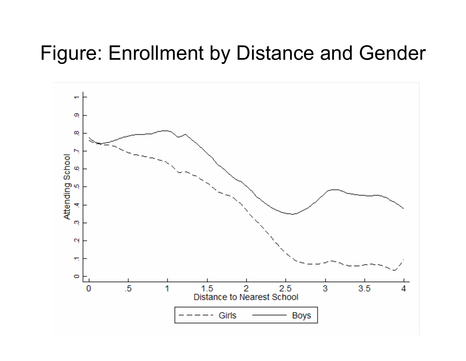### Figure: Enrollment by Distance and Gender

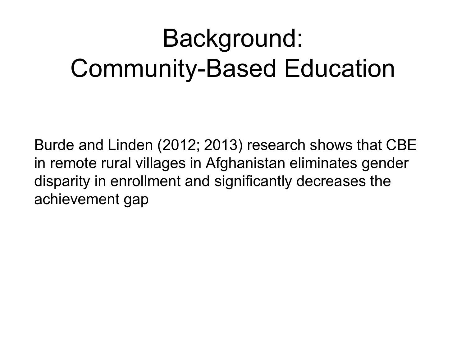# Background: Community-Based Education

Burde and Linden (2012; 2013) research shows that CBE in remote rural villages in Afghanistan eliminates gender disparity in enrollment and significantly decreases the achievement gap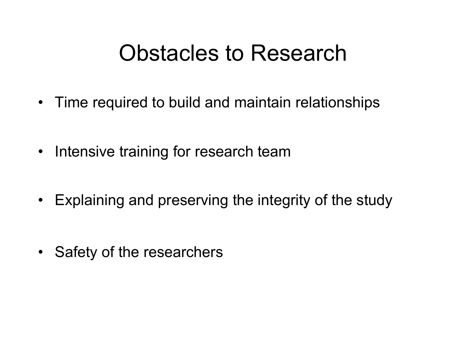### Obstacles to Research

- Time required to build and maintain relationships
- Intensive training for research team
- Explaining and preserving the integrity of the study
- Safety of the researchers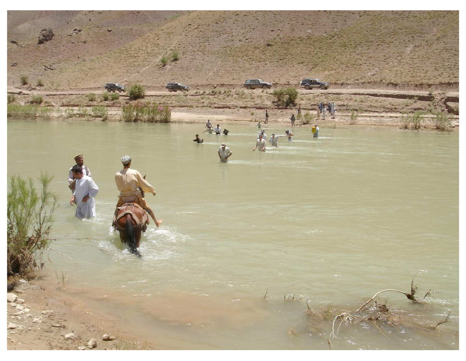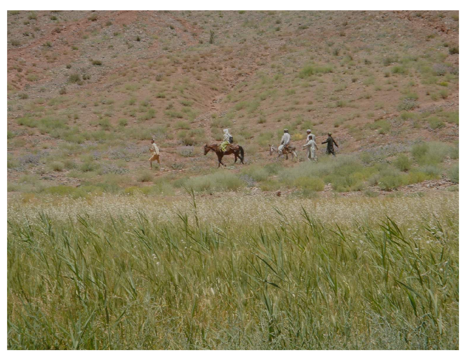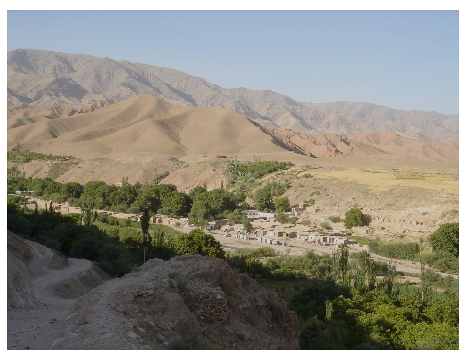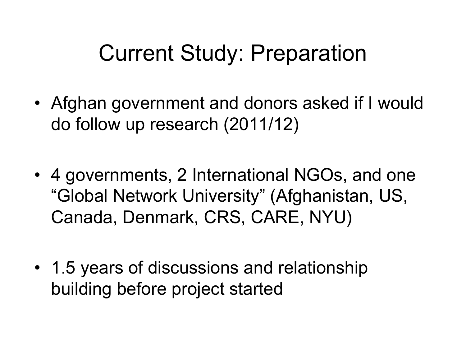### Current Study: Preparation

- Afghan government and donors asked if I would do follow up research (2011/12)
- 4 governments, 2 International NGOs, and one "Global Network University" (Afghanistan, US, Canada, Denmark, CRS, CARE, NYU)
- 1.5 years of discussions and relationship building before project started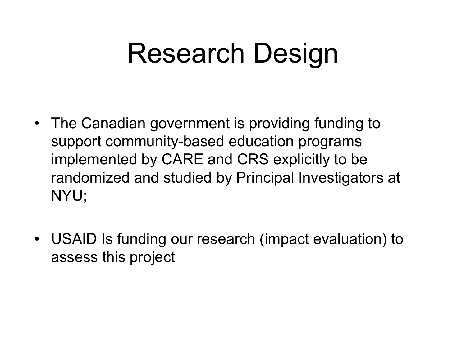# Research Design

- The Canadian government is providing funding to support community-based education programs implemented by CARE and CRS explicitly to be randomized and studied by Principal Investigators at NYU;
- USAID Is funding our research (impact evaluation) to assess this project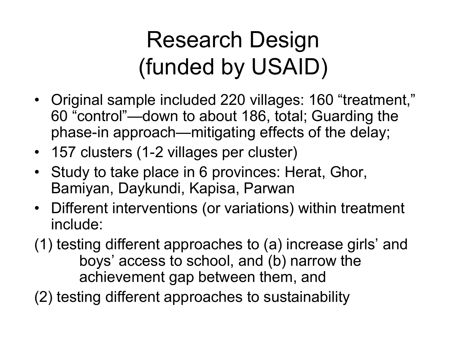## Research Design (funded by USAID)

- Original sample included 220 villages: 160 "treatment," 60 "control"—down to about 186, total; Guarding the phase-in approach—mitigating effects of the delay;
- 157 clusters (1-2 villages per cluster)
- Study to take place in 6 provinces: Herat, Ghor, Bamiyan, Daykundi, Kapisa, Parwan
- Different interventions (or variations) within treatment include:
- (1) testing different approaches to (a) increase girls' and boys' access to school, and (b) narrow the achievement gap between them, and

(2) testing different approaches to sustainability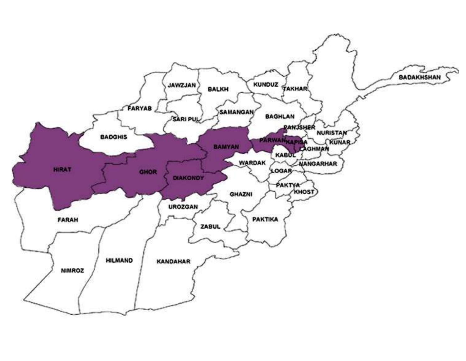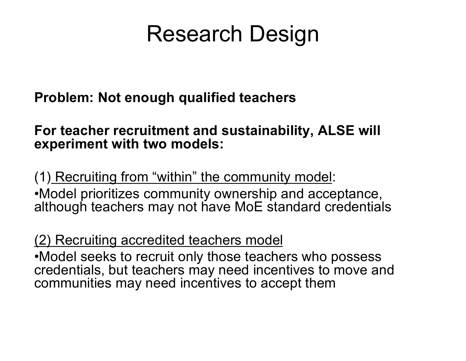### Research Design

**Problem: Not enough qualified teachers**

#### **For teacher recruitment and sustainability, ALSE will experiment with two models:**

(1) Recruiting from "within" the community model: •Model prioritizes community ownership and acceptance, although teachers may not have MoE standard credentials

### (2) Recruiting accredited teachers model

•Model seeks to recruit only those teachers who possess credentials, but teachers may need incentives to move and communities may need incentives to accept them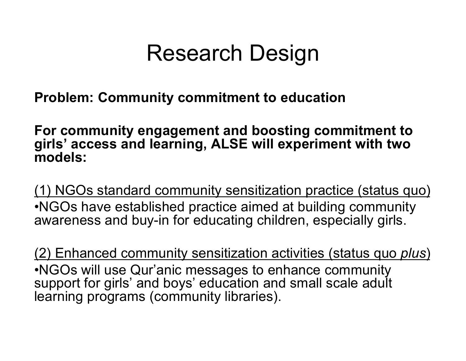### Research Design

**Problem: Community commitment to education**

**For community engagement and boosting commitment to girls' access and learning, ALSE will experiment with two models:**

(1) NGOs standard community sensitization practice (status quo) •NGOs have established practice aimed at building community awareness and buy-in for educating children, especially girls.

(2) Enhanced community sensitization activities (status quo *plus*) •NGOs will use Qur'anic messages to enhance community support for girls' and boys' education and small scale adult learning programs (community libraries).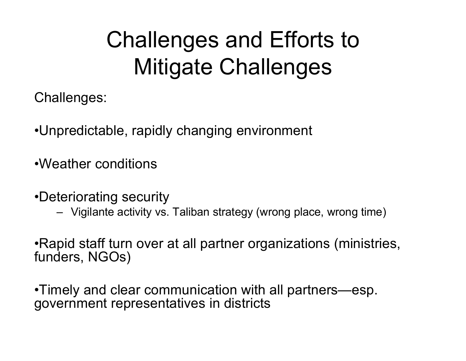## Challenges and Efforts to Mitigate Challenges

Challenges:

•Unpredictable, rapidly changing environment

•Weather conditions

•Deteriorating security

– Vigilante activity vs. Taliban strategy (wrong place, wrong time)

•Rapid staff turn over at all partner organizations (ministries, funders, NGOs)

•Timely and clear communication with all partners—esp. government representatives in districts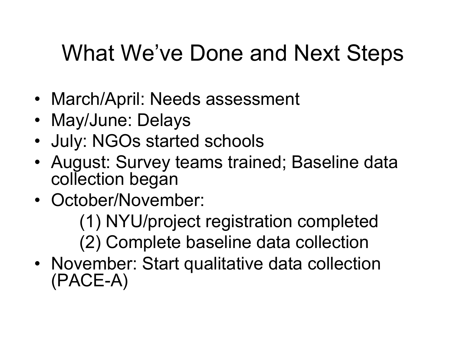### What We've Done and Next Steps

- March/April: Needs assessment
- May/June: Delays
- July: NGOs started schools
- August: Survey teams trained; Baseline data collection began
- October/November:

(1) NYU/project registration completed (2) Complete baseline data collection

• November: Start qualitative data collection (PACE-A)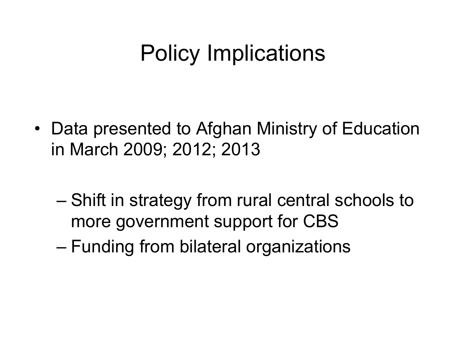### Policy Implications

- Data presented to Afghan Ministry of Education in March 2009; 2012; 2013
	- Shift in strategy from rural central schools to more government support for CBS
	- Funding from bilateral organizations